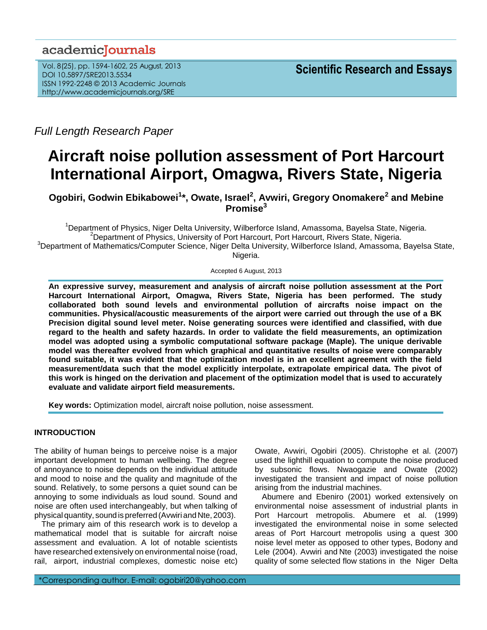# academicJournals

Vol. 8(25), pp. 1594-1602, 25 August, 2013 DOI 10.5897/SRE2013.5534 ISSN 1992-2248 © 2013 Academic Journals http://www.academicjournals.org/SRE

*Full Length Research Paper*

# **Aircraft noise pollution assessment of Port Harcourt International Airport, Omagwa, Rivers State, Nigeria**

**Ogobiri, Godwin Ebikabowei<sup>1</sup> \*, Owate, Israel<sup>2</sup> , Avwiri, Gregory Onomakere<sup>2</sup> and Mebine Promise<sup>3</sup>**

<sup>1</sup>Department of Physics, Niger Delta University, Wilberforce Island, Amassoma, Bayelsa State, Nigeria. <sup>2</sup>Department of Physics, University of Port Harcourt, Port Harcourt, Rivers State, Nigeria. <sup>3</sup>Department of Mathematics/Computer Science, Niger Delta University, Wilberforce Island, Amassoma, Bayelsa State,

Nigeria.

Accepted 6 August, 2013

**An expressive survey, measurement and analysis of aircraft noise pollution assessment at the Port Harcourt International Airport, Omagwa, Rivers State, Nigeria has been performed. The study collaborated both sound levels and environmental pollution of aircrafts noise impact on the communities. Physical/acoustic measurements of the airport were carried out through the use of a BK Precision digital sound level meter. Noise generating sources were identified and classified, with due regard to the health and safety hazards. In order to validate the field measurements, an optimization model was adopted using a symbolic computational software package (Maple). The unique derivable model was thereafter evolved from which graphical and quantitative results of noise were comparably found suitable, it was evident that the optimization model is in an excellent agreement with the field measurement/data such that the model explicitly interpolate, extrapolate empirical data. The pivot of this work is hinged on the derivation and placement of the optimization model that is used to accurately evaluate and validate airport field measurements.**

**Key words:** Optimization model, aircraft noise pollution, noise assessment.

## **INTRODUCTION**

The ability of human beings to perceive noise is a major important development to human wellbeing. The degree of annoyance to noise depends on the individual attitude and mood to noise and the quality and magnitude of the sound. Relatively, to some persons a quiet sound can be annoying to some individuals as loud sound. Sound and noise are often used interchangeably, but when talking of physical quantity, sound is preferred (Avwiri and Nte, 2003).

The primary aim of this research work is to develop a mathematical model that is suitable for aircraft noise assessment and evaluation. A lot of notable scientists have researched extensively on environmental noise (road, rail, airport, industrial complexes, domestic noise etc)

\*Corresponding author. E-mail: ogobiri20@yahoo.com

Owate, Avwiri, Ogobiri (2005). Christophe et al. (2007) used the lighthill equation to compute the noise produced by subsonic flows. Nwaogazie and Owate (2002) investigated the transient and impact of noise pollution arising from the industrial machines.

Abumere and Ebeniro (2001) worked extensively on environmental noise assessment of industrial plants in Port Harcourt metropolis. Abumere et al. (1999) investigated the environmental noise in some selected areas of Port Harcourt metropolis using a quest 300 noise level meter as opposed to other types, Bodony and Lele (2004). Avwiri and Nte (2003) investigated the noise quality of some selected flow stations in the Niger Delta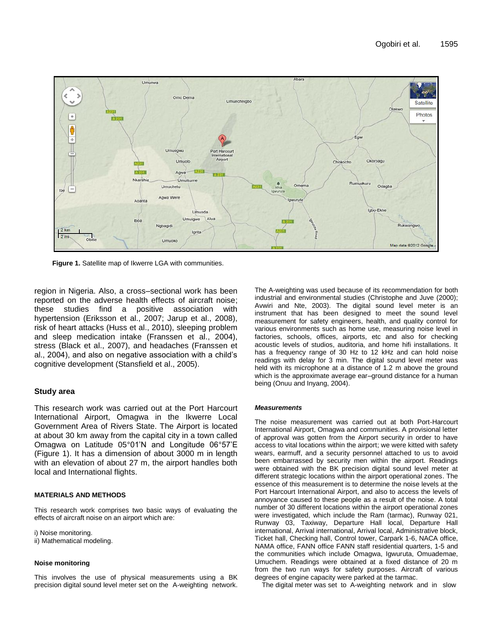

**Figure 1.** Satellite map of Ikwerre LGA with communities.

region in Nigeria. Also, a cross–sectional work has been reported on the adverse health effects of aircraft noise; these studies find a positive association with hypertension (Eriksson et al., 2007; Jarup et al., 2008), risk of heart attacks (Huss et al., 2010), sleeping problem and sleep medication intake (Franssen et al., 2004), stress (Black et al., 2007), and headaches (Franssen et al., 2004), and also on negative association with a child's cognitive development (Stansfield et al., 2005).

## **Study area**

This research work was carried out at the Port Harcourt International Airport, Omagwa in the Ikwerre Local Government Area of Rivers State. The Airport is located at about 30 km away from the capital city in a town called Omagwa on Latitude 05°01'N and Longitude 06°57'E (Figure 1). It has a dimension of about 3000 m in length with an elevation of about 27 m, the airport handles both local and International flights.

#### **MATERIALS AND METHODS**

This research work comprises two basic ways of evaluating the effects of aircraft noise on an airport which are:

i) Noise monitoring.

ii) Mathematical modeling.

#### **Noise monitoring**

This involves the use of physical measurements using a BK precision digital sound level meter set on the A-weighting network.

The A-weighting was used because of its recommendation for both industrial and environmental studies (Christophe and Juve (2000); Avwiri and Nte, 2003). The digital sound level meter is an instrument that has been designed to meet the sound level measurement for safety engineers, health, and quality control for various environments such as home use, measuring noise level in factories, schools, offices, airports, etc and also for checking acoustic levels of studios, auditoria, and home hifi installations. It has a frequency range of 30 Hz to 12 kHz and can hold noise readings with delay for 3 min. The digital sound level meter was held with its microphone at a distance of 1.2 m above the ground which is the approximate average ear–ground distance for a human being (Onuu and Inyang, 2004).

#### *Measurements*

The noise measurement was carried out at both Port-Harcourt International Airport, Omagwa and communities. A provisional letter of approval was gotten from the Airport security in order to have access to vital locations within the airport; we were kitted with safety wears, earmuff, and a security personnel attached to us to avoid been embarrassed by security men within the airport. Readings were obtained with the BK precision digital sound level meter at different strategic locations within the airport operational zones. The essence of this measurement is to determine the noise levels at the Port Harcourt International Airport, and also to access the levels of annoyance caused to these people as a result of the noise. A total number of 30 different locations within the airport operational zones were investigated, which include the Ram (tarmac), Runway 021, Runway 03, Taxiway, Departure Hall local, Departure Hall international, Arrival international, Arrival local, Administrative block, Ticket hall, Checking hall, Control tower, Carpark 1-6, NACA office, NAMA office, FANN office FANN staff residential quarters, 1-5 and the communities which include Omagwa, Igwuruta, Omuademae, Umuchem. Readings were obtained at a fixed distance of 20 m from the two run ways for safety purposes. Aircraft of various degrees of engine capacity were parked at the tarmac.

The digital meter was set to A-weighting network and in slow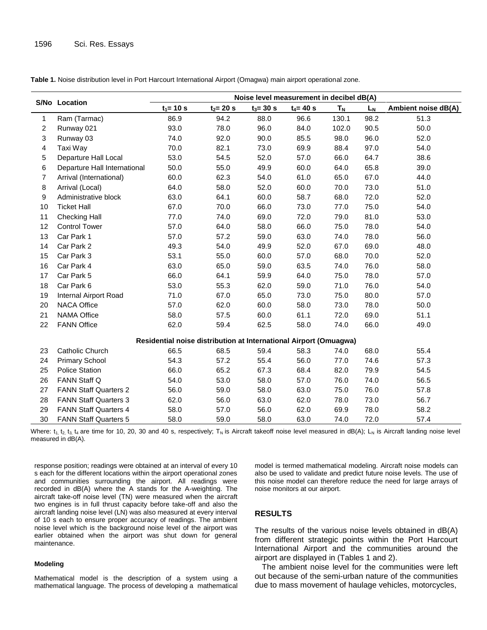|                | S/No Location                | Noise level measurement in decibel dB(A)                          |              |              |              |       |      |                     |
|----------------|------------------------------|-------------------------------------------------------------------|--------------|--------------|--------------|-------|------|---------------------|
|                |                              | $t_1 = 10 s$                                                      | $t_2 = 20 s$ | $t_3 = 30 s$ | $t_4 = 40 s$ | $T_N$ | LN   | Ambient noise dB(A) |
| 1              | Ram (Tarmac)                 | 86.9                                                              | 94.2         | 88.0         | 96.6         | 130.1 | 98.2 | 51.3                |
| $\overline{2}$ | Runway 021                   | 93.0                                                              | 78.0         | 96.0         | 84.0         | 102.0 | 90.5 | 50.0                |
| 3              | Runway 03                    | 74.0                                                              | 92.0         | 90.0         | 85.5         | 98.0  | 96.0 | 52.0                |
| 4              | Taxi Way                     | 70.0                                                              | 82.1         | 73.0         | 69.9         | 88.4  | 97.0 | 54.0                |
| 5              | Departure Hall Local         | 53.0                                                              | 54.5         | 52.0         | 57.0         | 66.0  | 64.7 | 38.6                |
| 6              | Departure Hall International | 50.0                                                              | 55.0         | 49.9         | 60.0         | 64.0  | 65.8 | 39.0                |
| $\overline{7}$ | Arrival (International)      | 60.0                                                              | 62.3         | 54.0         | 61.0         | 65.0  | 67.0 | 44.0                |
| 8              | Arrival (Local)              | 64.0                                                              | 58.0         | 52.0         | 60.0         | 70.0  | 73.0 | 51.0                |
| 9              | Administrative block         | 63.0                                                              | 64.1         | 60.0         | 58.7         | 68.0  | 72.0 | 52.0                |
| 10             | <b>Ticket Hall</b>           | 67.0                                                              | 70.0         | 66.0         | 73.0         | 77.0  | 75.0 | 54.0                |
| 11             | <b>Checking Hall</b>         | 77.0                                                              | 74.0         | 69.0         | 72.0         | 79.0  | 81.0 | 53.0                |
| 12             | <b>Control Tower</b>         | 57.0                                                              | 64.0         | 58.0         | 66.0         | 75.0  | 78.0 | 54.0                |
| 13             | Car Park 1                   | 57.0                                                              | 57.2         | 59.0         | 63.0         | 74.0  | 78.0 | 56.0                |
| 14             | Car Park 2                   | 49.3                                                              | 54.0         | 49.9         | 52.0         | 67.0  | 69.0 | 48.0                |
| 15             | Car Park 3                   | 53.1                                                              | 55.0         | 60.0         | 57.0         | 68.0  | 70.0 | 52.0                |
| 16             | Car Park 4                   | 63.0                                                              | 65.0         | 59.0         | 63.5         | 74.0  | 76.0 | 58.0                |
| 17             | Car Park 5                   | 66.0                                                              | 64.1         | 59.9         | 64.0         | 75.0  | 78.0 | 57.0                |
| 18             | Car Park 6                   | 53.0                                                              | 55.3         | 62.0         | 59.0         | 71.0  | 76.0 | 54.0                |
| 19             | Internal Airport Road        | 71.0                                                              | 67.0         | 65.0         | 73.0         | 75.0  | 80.0 | 57.0                |
| 20             | <b>NACA Office</b>           | 57.0                                                              | 62.0         | 60.0         | 58.0         | 73.0  | 78.0 | 50.0                |
| 21             | <b>NAMA Office</b>           | 58.0                                                              | 57.5         | 60.0         | 61.1         | 72.0  | 69.0 | 51.1                |
| 22             | <b>FANN Office</b>           | 62.0                                                              | 59.4         | 62.5         | 58.0         | 74.0  | 66.0 | 49.0                |
|                |                              | Residential noise distribution at International Airport (Omuagwa) |              |              |              |       |      |                     |
| 23             | Catholic Church              | 66.5                                                              | 68.5         | 59.4         | 58.3         | 74.0  | 68.0 | 55.4                |
| 24             | <b>Primary School</b>        | 54.3                                                              | 57.2         | 55.4         | 56.0         | 77.0  | 74.6 | 57.3                |
| 25             | <b>Police Station</b>        | 66.0                                                              | 65.2         | 67.3         | 68.4         | 82.0  | 79.9 | 54.5                |
| 26             | FANN Staff Q                 | 54.0                                                              | 53.0         | 58.0         | 57.0         | 76.0  | 74.0 | 56.5                |
| 27             | <b>FANN Staff Quarters 2</b> | 56.0                                                              | 59.0         | 58.0         | 63.0         | 75.0  | 76.0 | 57.8                |
| 28             | <b>FANN Staff Quarters 3</b> | 62.0                                                              | 56.0         | 63.0         | 62.0         | 78.0  | 73.0 | 56.7                |
| 29             | <b>FANN Staff Quarters 4</b> | 58.0                                                              | 57.0         | 56.0         | 62.0         | 69.9  | 78.0 | 58.2                |
| 30             | <b>FANN Staff Quarters 5</b> | 58.0                                                              | 59.0         | 58.0         | 63.0         | 74.0  | 72.0 | 57.4                |

**Table 1.** Noise distribution level in Port Harcourt International Airport (Omagwa) main airport operational zone.

Where:  $t_1$ ,  $t_2$ ,  $t_3$ ,  $t_4$  are time for 10, 20, 30 and 40 s, respectively; T<sub>N</sub> is Aircraft takeoff noise level measured in dB(A); L<sub>N</sub> is Aircraft landing noise level measured in dB(A).

response position; readings were obtained at an interval of every 10 s each for the different locations within the airport operational zones and communities surrounding the airport. All readings were recorded in dB(A) where the A stands for the A-weighting. The aircraft take-off noise level (TN) were measured when the aircraft two engines is in full thrust capacity before take-off and also the aircraft landing noise level (LN) was also measured at every interval of 10 s each to ensure proper accuracy of readings. The ambient noise level which is the background noise level of the airport was earlier obtained when the airport was shut down for general maintenance.

#### **Modeling**

Mathematical model is the description of a system using a mathematical language. The process of developing a mathematical model is termed mathematical modeling. Aircraft noise models can also be used to validate and predict future noise levels. The use of this noise model can therefore reduce the need for large arrays of noise monitors at our airport.

#### **RESULTS**

The results of the various noise levels obtained in dB(A) from different strategic points within the Port Harcourt International Airport and the communities around the airport are displayed in (Tables 1 and 2).

The ambient noise level for the communities were left out because of the semi-urban nature of the communities due to mass movement of haulage vehicles, motorcycles,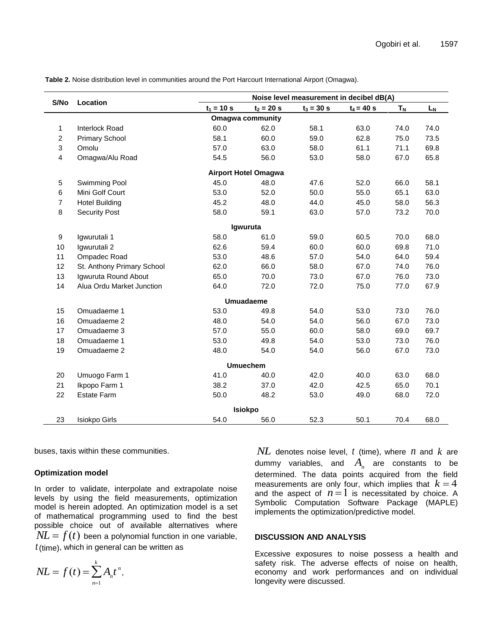|                         |                            |              |                             | Noise level measurement in decibel dB(A) |              |                      |      |
|-------------------------|----------------------------|--------------|-----------------------------|------------------------------------------|--------------|----------------------|------|
| S/No                    | Location                   | $t_1 = 10 s$ | $t_2 = 20 s$                | $t_3 = 30 s$                             | $t_4 = 40 s$ | <b>T<sub>N</sub></b> | LN   |
| <b>Omagwa community</b> |                            |              |                             |                                          |              |                      |      |
| 1                       | Interlock Road             | 60.0         | 62.0                        | 58.1                                     | 63.0         | 74.0                 | 74.0 |
| $\overline{c}$          | <b>Primary School</b>      | 58.1         | 60.0                        | 59.0                                     | 62.8         | 75.0                 | 73.5 |
| 3                       | Omolu                      | 57.0         | 63.0                        | 58.0                                     | 61.1         | 71.1                 | 69.8 |
| 4                       | Omagwa/Alu Road            | 54.5         | 56.0                        | 53.0                                     | 58.0         | 67.0                 | 65.8 |
|                         |                            |              | <b>Airport Hotel Omagwa</b> |                                          |              |                      |      |
| 5                       | Swimming Pool              | 45.0         | 48.0                        | 47.6                                     | 52.0         | 66.0                 | 58.1 |
| $\,6$                   | Mini Golf Court            | 53.0         | 52.0                        | 50.0                                     | 55.0         | 65.1                 | 63.0 |
| $\overline{7}$          | <b>Hotel Building</b>      | 45.2         | 48.0                        | 44.0                                     | 45.0         | 58.0                 | 56.3 |
| 8                       | <b>Security Post</b>       | 58.0         | 59.1                        | 63.0                                     | 57.0         | 73.2                 | 70.0 |
|                         |                            |              | Igwuruta                    |                                          |              |                      |      |
| $\boldsymbol{9}$        | Igwurutali 1               | 58.0         | 61.0                        | 59.0                                     | 60.5         | 70.0                 | 68.0 |
| 10                      | Igwurutali 2               | 62.6         | 59.4                        | 60.0                                     | 60.0         | 69.8                 | 71.0 |
| 11                      | Ompadec Road               | 53.0         | 48.6                        | 57.0                                     | 54.0         | 64.0                 | 59.4 |
| 12                      | St. Anthony Primary School | 62.0         | 66.0                        | 58.0                                     | 67.0         | 74.0                 | 76.0 |
| 13                      | Igwuruta Round About       | 65.0         | 70.0                        | 73.0                                     | 67.0         | 76.0                 | 73.0 |
| 14                      | Alua Ordu Market Junction  | 64.0         | 72.0                        | 72.0                                     | 75.0         | 77.0                 | 67.9 |
|                         |                            |              | <b>Umuadaeme</b>            |                                          |              |                      |      |
| 15                      | Omuadaeme 1                | 53.0         | 49.8                        | 54.0                                     | 53.0         | 73.0                 | 76.0 |
| 16                      | Omuadaeme 2                | 48.0         | 54.0                        | 54.0                                     | 56.0         | 67.0                 | 73.0 |
| 17                      | Omuadaeme 3                | 57.0         | 55.0                        | 60.0                                     | 58.0         | 69.0                 | 69.7 |
| 18                      | Omuadaeme 1                | 53.0         | 49.8                        | 54.0                                     | 53.0         | 73.0                 | 76.0 |
| 19                      | Omuadaeme 2                | 48.0         | 54.0                        | 54.0                                     | 56.0         | 67.0                 | 73.0 |
|                         |                            |              | <b>Umuechem</b>             |                                          |              |                      |      |
| 20                      | Umuogo Farm 1              | 41.0         | 40.0                        | 42.0                                     | 40.0         | 63.0                 | 68.0 |
| 21                      | Ikpopo Farm 1              | 38.2         | 37.0                        | 42.0                                     | 42.5         | 65.0                 | 70.1 |
| 22                      | <b>Estate Farm</b>         | 50.0         | 48.2                        | 53.0                                     | 49.0         | 68.0                 | 72.0 |
|                         |                            |              | <b>Isiokpo</b>              |                                          |              |                      |      |
| 23                      | <b>Isiokpo Girls</b>       | 54.0         | 56.0                        | 52.3                                     | 50.1         | 70.4                 | 68.0 |

**Table 2.** Noise distribution level in communities around the Port Harcourt International Airport (Omagwa).

buses, taxis within these communities.

#### **Optimization model**

In order to validate, interpolate and extrapolate noise in order to validate, interpolate and extrapolate noise<br>levels by using the field measurements, optimization model is herein adopted. An optimization model is a set of mathematical programming used to find the best possible choice out of available alternatives where  $\hat{P}NL = f(t)$  been a polynomial function in one variable,  *t* (time), which in general can be written as

$$
NL = f(t) = \sum_{n=1}^k A_n t^n,
$$

 $NL$  denotes noise level,  $t$  (time), where  $n$  and  $k$  are and the aspect of  $n=1$  is necessitated by choice. A<br>Symbolic Computation Settuces Ideals of (MADLE) dummy variables, and  $A_n$  are constants to be implements the optimization/predictive model. determined. The data points acquired from the field measurements are only four, which implies that  $k = 4$ Symbolic Computation Software Package (MAPLE)

# **DISCUSSION AND ANALYSIS**

Excessive exposures to noise possess a health and safety risk. The adverse effects of noise on health, economy and work performances and on individual longevity were discussed.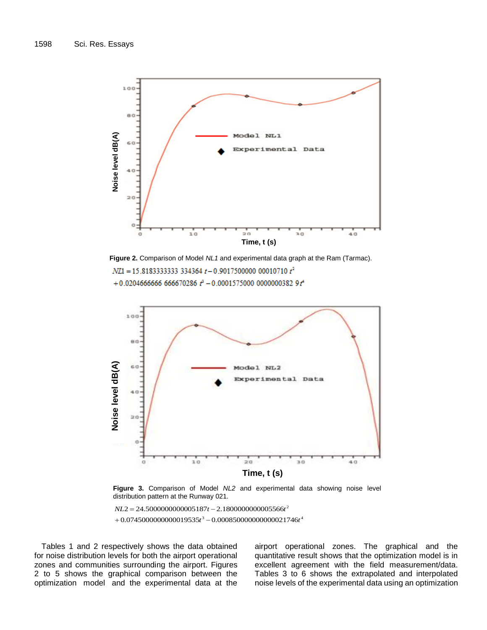

**Figure 2.** Comparison of Model *NL1* and experimental data graph at the Ram (Tarmac).  $NZ1 = 15.818333333333334364 t - 0.9017500000000010710 t<sup>2</sup>$ +0.0204666666 666670286  $t^3$  -0.0001575000 0000000382 9 $t^4$ 



**Figure 3.** Comparison of Model *NL2* and experimental data showing noise level distribution pattern at the Runway 021.

 $+0.0745000000000019535t^3 - 0.000850000000000021746t^4$  $NL2 = 24.5000000000005187t - 2.180000000005566t^2$ 

Tables 1 and 2 respectively shows the data obtained for noise distribution levels for both the airport operational zones and communities surrounding the airport. Figures 2 to 5 shows the graphical comparison between the optimization model and the experimental data at the airport operational zones. The graphical and the quantitative result shows that the optimization model is in excellent agreement with the field measurement/data. Tables 3 to 6 shows the extrapolated and interpolated noise levels of the experimental data using an optimization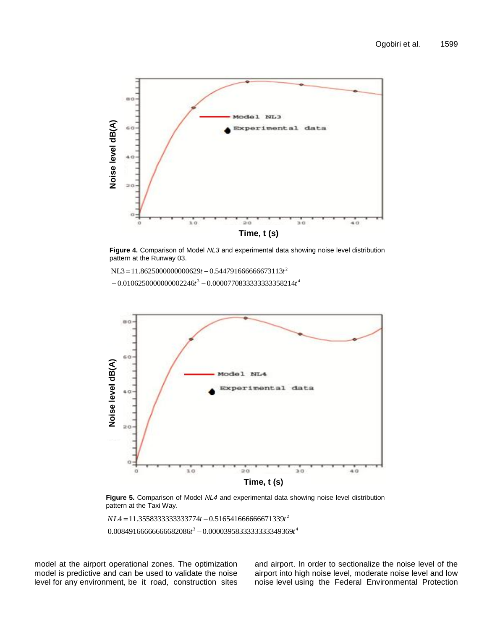

**Figure 4.** Comparison of Model *NL3* and experimental data showing noise level distribution pattern at the Runway 03.

 $NL3 = 11.8625000000000629t - 0.544791666666673113t^2$ 

 $+0.0106250000000002246t^3 - 0.0000770833333333358214t^4$ 



**Figure 5.** Comparison of Model *NL4* and experimental data showing noise level distribution pattern at the Taxi Way.

 $0.00849166666666682086t^3 - 0.0000395833333333349369t^4$  $NL4 = 11.3558333333333774t - 0.516541666666671339t^2$ 

model at the airport operational zones. The optimization model is predictive and can be used to validate the noise level for any environment, be it road, construction sites and airport. In order to sectionalize the noise level of the airport into high noise level, moderate noise level and low noise level using the Federal Environmental Protection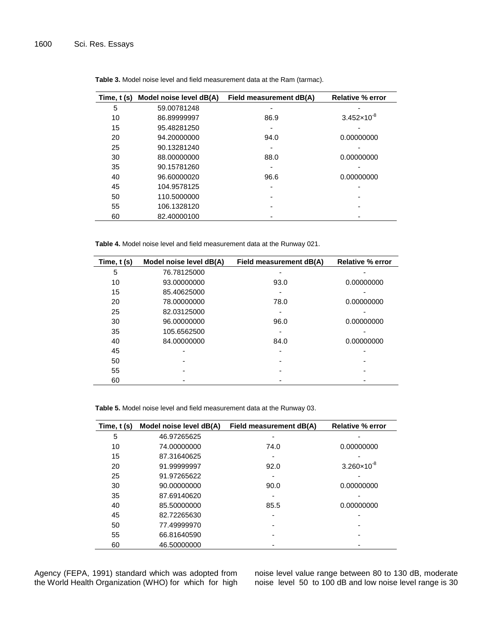| Time, t (s) | Model noise level dB(A) | Field measurement dB(A) | <b>Relative % error</b> |
|-------------|-------------------------|-------------------------|-------------------------|
| 5           | 59.00781248             |                         |                         |
| 10          | 86.89999997             | 86.9                    | $3.452\times10^{-8}$    |
| 15          | 95.48281250             |                         |                         |
| 20          | 94.20000000             | 94.0                    | 0.00000000              |
| 25          | 90.13281240             | -                       |                         |
| 30          | 88.00000000             | 88.0                    | 0.00000000              |
| 35          | 90.15781260             |                         |                         |
| 40          | 96.60000020             | 96.6                    | 0.00000000              |
| 45          | 104.9578125             |                         |                         |
| 50          | 110.5000000             |                         |                         |
| 55          | 106.1328120             |                         |                         |
| 60          | 82.40000100             |                         |                         |

**Table 3.** Model noise level and field measurement data at the Ram (tarmac).

**Table 4.** Model noise level and field measurement data at the Runway 021.

| Time, $t(s)$ | Model noise level dB(A) | Field measurement dB(A) | <b>Relative % error</b> |
|--------------|-------------------------|-------------------------|-------------------------|
| 5            | 76.78125000             |                         |                         |
| 10           | 93.00000000             | 93.0                    | 0.00000000              |
| 15           | 85.40625000             |                         |                         |
| 20           | 78.00000000             | 78.0                    | 0.00000000              |
| 25           | 82.03125000             |                         |                         |
| 30           | 96.00000000             | 96.0                    | 0.00000000              |
| 35           | 105.6562500             |                         |                         |
| 40           | 84.00000000             | 84.0                    | 0.00000000              |
| 45           |                         |                         |                         |
| 50           |                         |                         |                         |
| 55           |                         |                         |                         |
| 60           |                         |                         |                         |

**Table 5.** Model noise level and field measurement data at the Runway 03.

| Time, t (s) | Model noise level dB(A) | Field measurement dB(A) | <b>Relative % error</b> |
|-------------|-------------------------|-------------------------|-------------------------|
| 5           | 46.97265625             |                         |                         |
| 10          | 74.00000000             | 74.0                    | 0.00000000              |
| 15          | 87.31640625             |                         |                         |
| 20          | 91.99999997             | 92.0                    | $3.260 \times 10^{-8}$  |
| 25          | 91.97265622             |                         |                         |
| 30          | 90.00000000             | 90.0                    | 0.00000000              |
| 35          | 87.69140620             |                         |                         |
| 40          | 85.50000000             | 85.5                    | 0.00000000              |
| 45          | 82.72265630             |                         |                         |
| 50          | 77.49999970             |                         |                         |
| 55          | 66.81640590             |                         |                         |
| 60          | 46.50000000             |                         |                         |

Agency (FEPA, 1991) standard which was adopted from the World Health Organization (WHO) for which for high

noise level value range between 80 to 130 dB, moderate noise level 50 to 100 dB and low noise level range is 30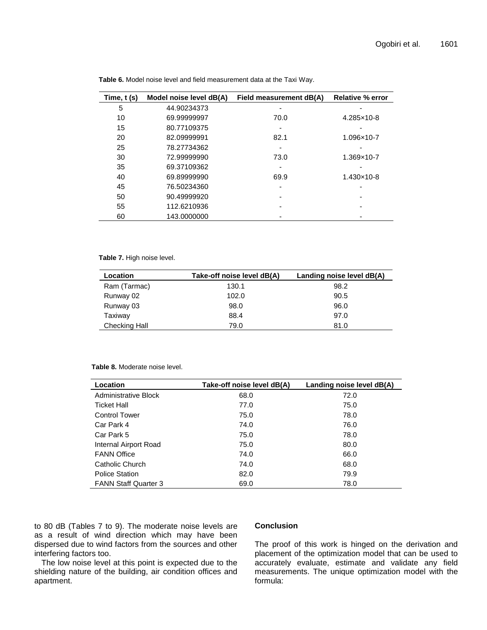| Time, $t(s)$ | Model noise level dB(A) | Field measurement dB(A) | <b>Relative % error</b> |
|--------------|-------------------------|-------------------------|-------------------------|
| 5            | 44.90234373             |                         |                         |
| 10           | 69.99999997             | 70.0                    | 4.285×10-8              |
| 15           | 80.77109375             | -                       |                         |
| 20           | 82.09999991             | 82.1                    | 1.096×10-7              |
| 25           | 78.27734362             |                         |                         |
| 30           | 72.99999990             | 73.0                    | 1.369×10-7              |
| 35           | 69.37109362             |                         |                         |
| 40           | 69.89999990             | 69.9                    | 1.430×10-8              |
| 45           | 76.50234360             |                         |                         |
| 50           | 90.49999920             |                         |                         |
| 55           | 112.6210936             |                         |                         |
| 60           | 143.0000000             |                         |                         |

**Table 6.** Model noise level and field measurement data at the Taxi Way.

**Table 7.** High noise level.

| Location             | Take-off noise level dB(A) | Landing noise level dB(A) |
|----------------------|----------------------------|---------------------------|
| Ram (Tarmac)         | 130.1                      | 98.2                      |
| Runway 02            | 102.0                      | 90.5                      |
| Runway 03            | 98.0                       | 96.0                      |
| Taxiway              | 88.4                       | 97.0                      |
| <b>Checking Hall</b> | 79.0                       | 81.0                      |

#### **Table 8.** Moderate noise level.

| Location                    | Take-off noise level dB(A) | Landing noise level dB(A) |
|-----------------------------|----------------------------|---------------------------|
| Administrative Block        | 68.0                       | 72.0                      |
| <b>Ticket Hall</b>          | 77.0                       | 75.0                      |
| <b>Control Tower</b>        | 75.0                       | 78.0                      |
| Car Park 4                  | 74.0                       | 76.0                      |
| Car Park 5                  | 75.0                       | 78.0                      |
| Internal Airport Road       | 75.0                       | 80.0                      |
| <b>FANN Office</b>          | 74.0                       | 66.0                      |
| Catholic Church             | 74.0                       | 68.0                      |
| <b>Police Station</b>       | 82.0                       | 79.9                      |
| <b>FANN Staff Quarter 3</b> | 69.0                       | 78.0                      |

to 80 dB (Tables 7 to 9). The moderate noise levels are as a result of wind direction which may have been dispersed due to wind factors from the sources and other interfering factors too.

The low noise level at this point is expected due to the shielding nature of the building, air condition offices and apartment.

## **Conclusion**

The proof of this work is hinged on the derivation and placement of the optimization model that can be used to accurately evaluate, estimate and validate any field measurements. The unique optimization model with the formula: